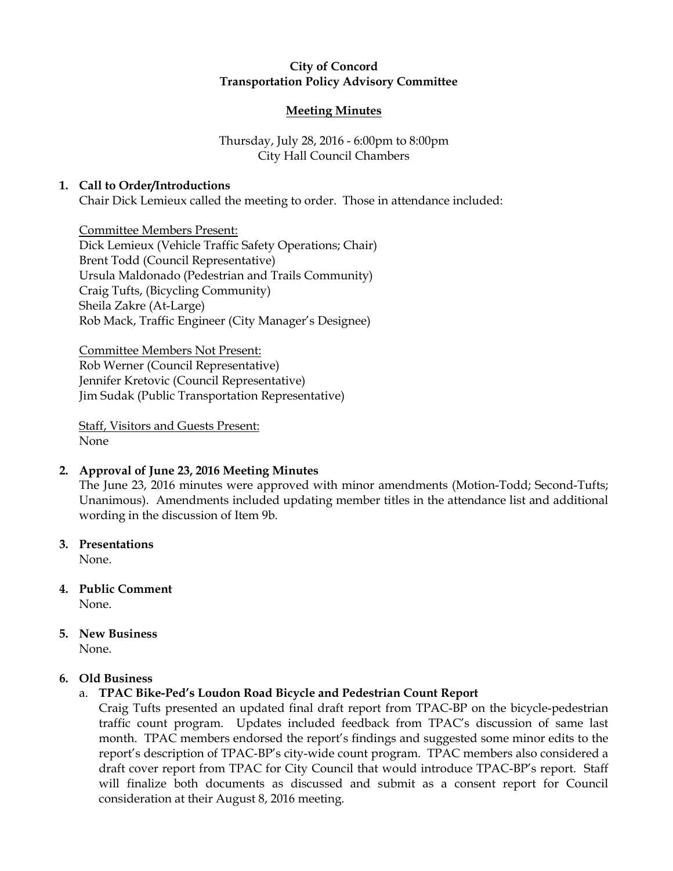## City of Concord Transportation Policy Advisory Committee

### Meeting Minutes

# Thursday, July 28, 2016 - 6:00pm to 8:00pm City Hall Council Chambers

## 1. Call to Order/Introductions

Chair Dick Lemieux called the meeting to order. Those in attendance included:

Committee Members Present: Dick Lemieux (Vehicle Traffic Safety Operations; Chair) Brent Todd (Council Representative) Ursula Maldonado (Pedestrian and Trails Community) Craig Tufts, (Bicycling Community) Sheila Zakre (At-Large) Rob Mack, Traffic Engineer (City Manager's Designee)

Committee Members Not Present: Rob Werner (Council Representative) Jennifer Kretovic (Council Representative) Jim Sudak (Public Transportation Representative)

Staff, Visitors and Guests Present: None

#### 2. Approval of June 23, 2016 Meeting Minutes

The June 23, 2016 minutes were approved with minor amendments (Motion-Todd; Second-Tufts; Unanimous). Amendments included updating member titles in the attendance list and additional wording in the discussion of Item 9b.

3. Presentations

None.

- 4. Public Comment None.
- 5. New Business

None.

#### 6. Old Business

## a. TPAC Bike-Ped's Loudon Road Bicycle and Pedestrian Count Report

Craig Tufts presented an updated final draft report from TPAC-BP on the bicycle-pedestrian traffic count program. Updates included feedback from TPAC's discussion of same last month. TPAC members endorsed the report's findings and suggested some minor edits to the report's description of TPAC-BP's city-wide count program. TPAC members also considered a draft cover report from TPAC for City Council that would introduce TPAC-BP's report. Staff will finalize both documents as discussed and submit as a consent report for Council consideration at their August 8, 2016 meeting.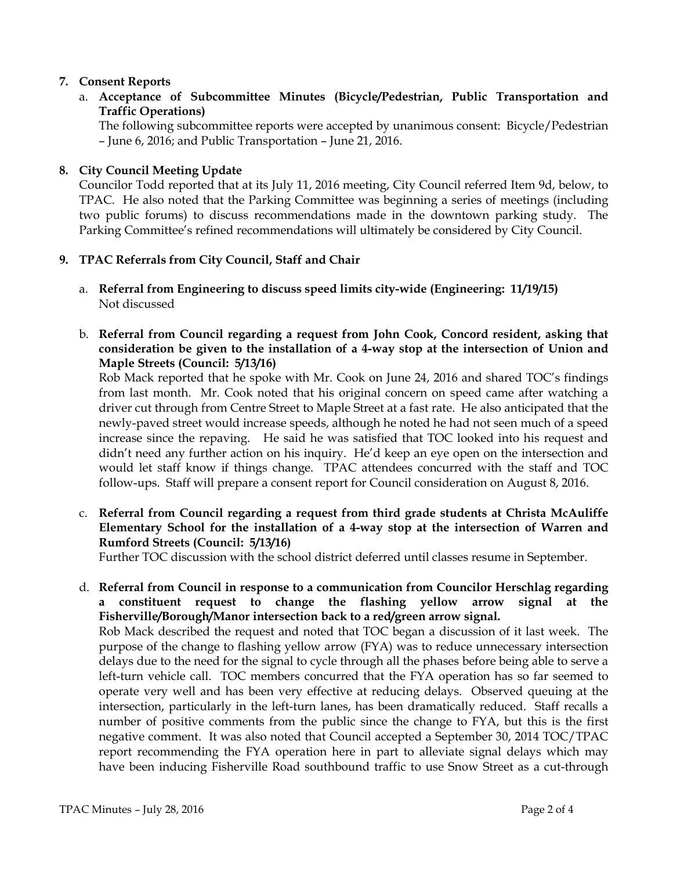## 7. Consent Reports

a. Acceptance of Subcommittee Minutes (Bicycle/Pedestrian, Public Transportation and Traffic Operations)

The following subcommittee reports were accepted by unanimous consent: Bicycle/Pedestrian – June 6, 2016; and Public Transportation – June 21, 2016.

## 8. City Council Meeting Update

Councilor Todd reported that at its July 11, 2016 meeting, City Council referred Item 9d, below, to TPAC. He also noted that the Parking Committee was beginning a series of meetings (including two public forums) to discuss recommendations made in the downtown parking study. The Parking Committee's refined recommendations will ultimately be considered by City Council.

## 9. TPAC Referrals from City Council, Staff and Chair

- a. Referral from Engineering to discuss speed limits city-wide (Engineering: 11/19/15) Not discussed
- b. Referral from Council regarding a request from John Cook, Concord resident, asking that consideration be given to the installation of a 4-way stop at the intersection of Union and Maple Streets (Council: 5/13/16)

Rob Mack reported that he spoke with Mr. Cook on June 24, 2016 and shared TOC's findings from last month. Mr. Cook noted that his original concern on speed came after watching a driver cut through from Centre Street to Maple Street at a fast rate. He also anticipated that the newly-paved street would increase speeds, although he noted he had not seen much of a speed increase since the repaving. He said he was satisfied that TOC looked into his request and didn't need any further action on his inquiry. He'd keep an eye open on the intersection and would let staff know if things change. TPAC attendees concurred with the staff and TOC follow-ups. Staff will prepare a consent report for Council consideration on August 8, 2016.

c. Referral from Council regarding a request from third grade students at Christa McAuliffe Elementary School for the installation of a 4-way stop at the intersection of Warren and Rumford Streets (Council: 5/13/16)

Further TOC discussion with the school district deferred until classes resume in September.

d. Referral from Council in response to a communication from Councilor Herschlag regarding a constituent request to change the flashing yellow arrow signal at the Fisherville/Borough/Manor intersection back to a red/green arrow signal. Rob Mack described the request and noted that TOC began a discussion of it last week. The purpose of the change to flashing yellow arrow (FYA) was to reduce unnecessary intersection delays due to the need for the signal to cycle through all the phases before being able to serve a left-turn vehicle call. TOC members concurred that the FYA operation has so far seemed to operate very well and has been very effective at reducing delays. Observed queuing at the intersection, particularly in the left-turn lanes, has been dramatically reduced. Staff recalls a number of positive comments from the public since the change to FYA, but this is the first negative comment. It was also noted that Council accepted a September 30, 2014 TOC/TPAC report recommending the FYA operation here in part to alleviate signal delays which may have been inducing Fisherville Road southbound traffic to use Snow Street as a cut-through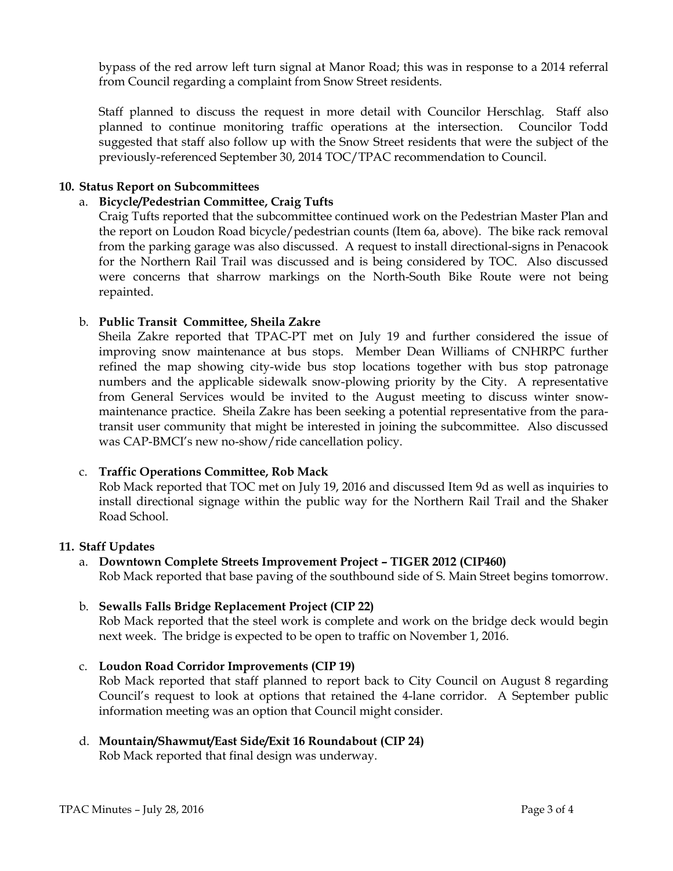bypass of the red arrow left turn signal at Manor Road; this was in response to a 2014 referral from Council regarding a complaint from Snow Street residents.

Staff planned to discuss the request in more detail with Councilor Herschlag. Staff also planned to continue monitoring traffic operations at the intersection. Councilor Todd suggested that staff also follow up with the Snow Street residents that were the subject of the previously-referenced September 30, 2014 TOC/TPAC recommendation to Council.

## 10. Status Report on Subcommittees

### a. Bicycle/Pedestrian Committee, Craig Tufts

Craig Tufts reported that the subcommittee continued work on the Pedestrian Master Plan and the report on Loudon Road bicycle/pedestrian counts (Item 6a, above). The bike rack removal from the parking garage was also discussed. A request to install directional-signs in Penacook for the Northern Rail Trail was discussed and is being considered by TOC. Also discussed were concerns that sharrow markings on the North-South Bike Route were not being repainted.

### b. Public Transit Committee, Sheila Zakre

Sheila Zakre reported that TPAC-PT met on July 19 and further considered the issue of improving snow maintenance at bus stops. Member Dean Williams of CNHRPC further refined the map showing city-wide bus stop locations together with bus stop patronage numbers and the applicable sidewalk snow-plowing priority by the City. A representative from General Services would be invited to the August meeting to discuss winter snowmaintenance practice. Sheila Zakre has been seeking a potential representative from the paratransit user community that might be interested in joining the subcommittee. Also discussed was CAP-BMCI's new no-show/ride cancellation policy.

#### c. Traffic Operations Committee, Rob Mack

Rob Mack reported that TOC met on July 19, 2016 and discussed Item 9d as well as inquiries to install directional signage within the public way for the Northern Rail Trail and the Shaker Road School.

#### 11. Staff Updates

### a. Downtown Complete Streets Improvement Project – TIGER 2012 (CIP460) Rob Mack reported that base paving of the southbound side of S. Main Street begins tomorrow.

#### b. Sewalls Falls Bridge Replacement Project (CIP 22)

Rob Mack reported that the steel work is complete and work on the bridge deck would begin next week. The bridge is expected to be open to traffic on November 1, 2016.

c. Loudon Road Corridor Improvements (CIP 19) Rob Mack reported that staff planned to report back to City Council on August 8 regarding Council's request to look at options that retained the 4-lane corridor. A September public information meeting was an option that Council might consider.

#### d. Mountain/Shawmut/East Side/Exit 16 Roundabout (CIP 24) Rob Mack reported that final design was underway.